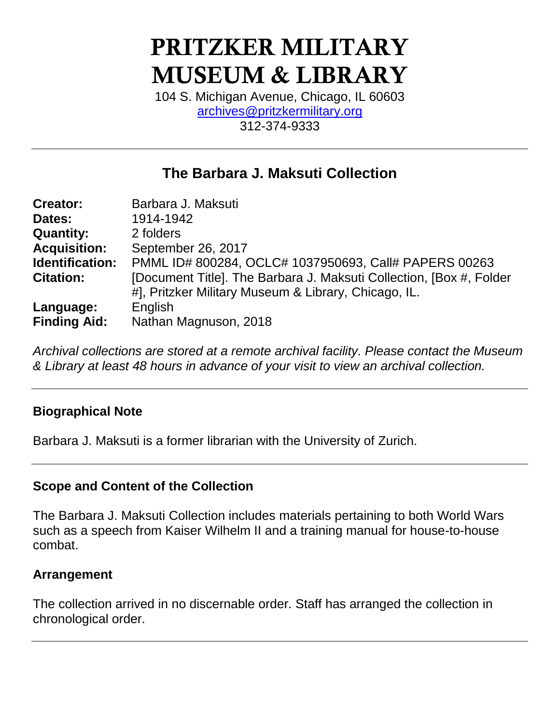# **PRITZKER MILITARY MUSEUM & LIBRARY**

104 S. Michigan Avenue, Chicago, IL 60603 [archives@pritzkermilitary.org](mailto:archives@pritzkermilitary.org) 312-374-9333

## **The Barbara J. Maksuti Collection**

| <b>Creator:</b>     | Barbara J. Maksuti                                                  |
|---------------------|---------------------------------------------------------------------|
| Dates:              | 1914-1942                                                           |
| <b>Quantity:</b>    | 2 folders                                                           |
| <b>Acquisition:</b> | September 26, 2017                                                  |
| Identification:     | PMML ID# 800284, OCLC# 1037950693, Call# PAPERS 00263               |
| <b>Citation:</b>    | [Document Title]. The Barbara J. Maksuti Collection, [Box #, Folder |
|                     | #], Pritzker Military Museum & Library, Chicago, IL.                |
| Language:           | English                                                             |
| <b>Finding Aid:</b> | Nathan Magnuson, 2018                                               |

*Archival collections are stored at a remote archival facility. Please contact the Museum & Library at least 48 hours in advance of your visit to view an archival collection.*

### **Biographical Note**

Barbara J. Maksuti is a former librarian with the University of Zurich.

### **Scope and Content of the Collection**

The Barbara J. Maksuti Collection includes materials pertaining to both World Wars such as a speech from Kaiser Wilhelm II and a training manual for house-to-house combat.

#### **Arrangement**

The collection arrived in no discernable order. Staff has arranged the collection in chronological order.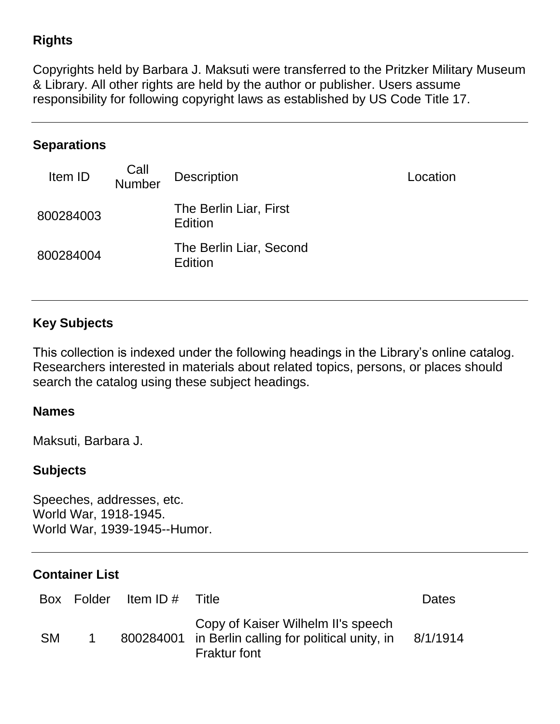## **Rights**

Copyrights held by Barbara J. Maksuti were transferred to the Pritzker Military Museum & Library. All other rights are held by the author or publisher. Users assume responsibility for following copyright laws as established by US Code Title 17.

## **Separations**

| Item ID   | Call<br>Number | <b>Description</b>                        | Location |
|-----------|----------------|-------------------------------------------|----------|
| 800284003 |                | The Berlin Liar, First<br>Edition         |          |
| 800284004 |                | The Berlin Liar, Second<br><b>Edition</b> |          |

## **Key Subjects**

This collection is indexed under the following headings in the Library's online catalog. Researchers interested in materials about related topics, persons, or places should search the catalog using these subject headings.

#### **Names**

Maksuti, Barbara J.

#### **Subjects**

Speeches, addresses, etc. World War, 1918-1945. World War, 1939-1945--Humor.

#### **Container List**

|           | Box Folder Item ID # Title |                                                                                                                  | Dates    |
|-----------|----------------------------|------------------------------------------------------------------------------------------------------------------|----------|
| <b>SM</b> |                            | Copy of Kaiser Wilhelm II's speech<br>800284001 in Berlin calling for political unity, in<br><b>Fraktur font</b> | 8/1/1914 |